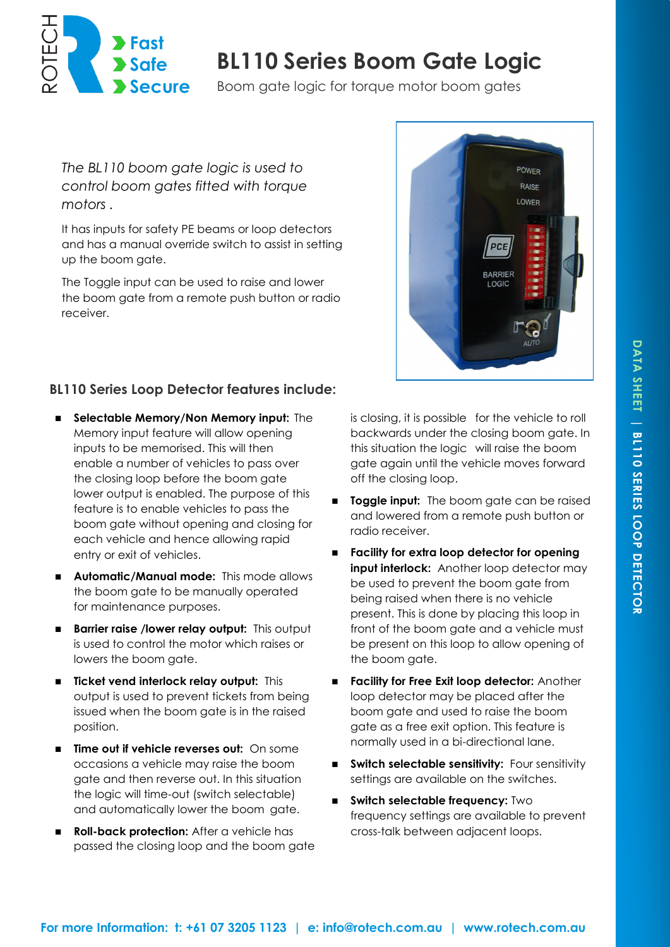

# **BL110 Series Boom Gate Logic**

Boom gate logic for torque motor boom gates

*The BL110 boom gate logic is used to control boom gates fitted with torque motors .* 

It has inputs for safety PE beams or loop detectors and has a manual override switch to assist in setting up the boom gate.

The Toggle input can be used to raise and lower the boom gate from a remote push button or radio receiver.

# **BL110 Series Loop Detector features include:**

- **Selectable Memory/Non Memory input:** The Memory input feature will allow opening inputs to be memorised. This will then enable a number of vehicles to pass over the closing loop before the boom gate lower output is enabled. The purpose of this feature is to enable vehicles to pass the boom gate without opening and closing for each vehicle and hence allowing rapid entry or exit of vehicles.
- **Automatic/Manual mode:** This mode allows the boom gate to be manually operated for maintenance purposes.
- **Barrier raise /lower relay output:** This output is used to control the motor which raises or lowers the boom gate.
- **F** Ticket vend interlock relay output: This output is used to prevent tickets from being issued when the boom gate is in the raised position.
- **Time out if vehicle reverses out:** On some occasions a vehicle may raise the boom gate and then reverse out. In this situation the logic will time-out (switch selectable) and automatically lower the boom gate.
- **Roll-back protection:** After a vehicle has passed the closing loop and the boom gate

is closing, it is possible for the vehicle to roll backwards under the closing boom gate. In this situation the logic will raise the boom gate again until the vehicle moves forward off the closing loop.

- **Toggle input:** The boom gate can be raised and lowered from a remote push button or radio receiver.
- **Facility for extra loop detector for opening input interlock:** Another loop detector may be used to prevent the boom gate from being raised when there is no vehicle present. This is done by placing this loop in front of the boom gate and a vehicle must be present on this loop to allow opening of the boom gate.
- **Facility for Free Exit loop detector:** Another loop detector may be placed after the boom gate and used to raise the boom gate as a free exit option. This feature is normally used in a bi-directional lane.
- **B** Switch selectable sensitivity: Four sensitivity settings are available on the switches.
- **B** Switch selectable frequency:  $Two$ frequency settings are available to prevent cross-talk between adjacent loops.